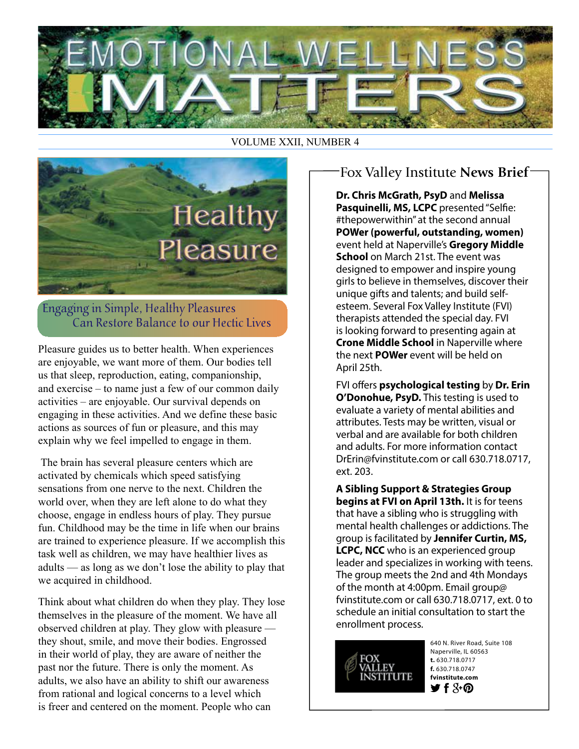

VOLUME XXII, NUMBER 4



Engaging in Simple, Healthy Pleasures Can Restore Balance to our Hectic Lives

Pleasure guides us to better health. When experiences are enjoyable, we want more of them. Our bodies tell us that sleep, reproduction, eating, companionship, and exercise – to name just a few of our common daily activities – are enjoyable. Our survival depends on engaging in these activities. And we define these basic actions as sources of fun or pleasure, and this may explain why we feel impelled to engage in them.

 The brain has several pleasure centers which are activated by chemicals which speed satisfying sensations from one nerve to the next. Children the world over, when they are left alone to do what they choose, engage in endless hours of play. They pursue fun. Childhood may be the time in life when our brains are trained to experience pleasure. If we accomplish this task well as children, we may have healthier lives as adults — as long as we don't lose the ability to play that we acquired in childhood.

Think about what children do when they play. They lose themselves in the pleasure of the moment. We have all observed children at play. They glow with pleasure they shout, smile, and move their bodies. Engrossed in their world of play, they are aware of neither the past nor the future. There is only the moment. As adults, we also have an ability to shift our awareness from rational and logical concerns to a level which is freer and centered on the moment. People who can

## Fox Valley Institute **News Brief**

**Dr. Chris McGrath, PsyD** and **Melissa Pasquinelli, MS, LCPC** presented "Selfie: #thepowerwithin" at the second annual **POWer (powerful, outstanding, women)** event held at Naperville's **Gregory Middle School** on March 21st. The event was designed to empower and inspire young girls to believe in themselves, discover their unique gifts and talents; and build selfesteem. Several Fox Valley Institute (FVI) therapists attended the special day. FVI is looking forward to presenting again at **Crone Middle School** in Naperville where the next **POWer** event will be held on April 25th.

FVI offers **psychological testing** by **Dr. Erin O'Donohue, PsyD.** This testing is used to evaluate a variety of mental abilities and attributes. Tests may be written, visual or verbal and are available for both children and adults. For more information contact DrErin@fvinstitute.com or call 630.718.0717, ext. 203.

**A Sibling Support & Strategies Group begins at FVI on April 13th.** It is for teens that have a sibling who is struggling with mental health challenges or addictions. The group is facilitated by **Jennifer Curtin, MS, LCPC, NCC** who is an experienced group leader and specializes in working with teens. The group meets the 2nd and 4th Mondays of the month at 4:00pm. Email group@ fvinstitute.com or call 630.718.0717, ext. 0 to schedule an initial consultation to start the enrollment process.



640 N. River Road, Suite 108 Naperville, IL 60563 **t.** 630.718.0717 **f.** 630.718.0747 **fvinstitute.com**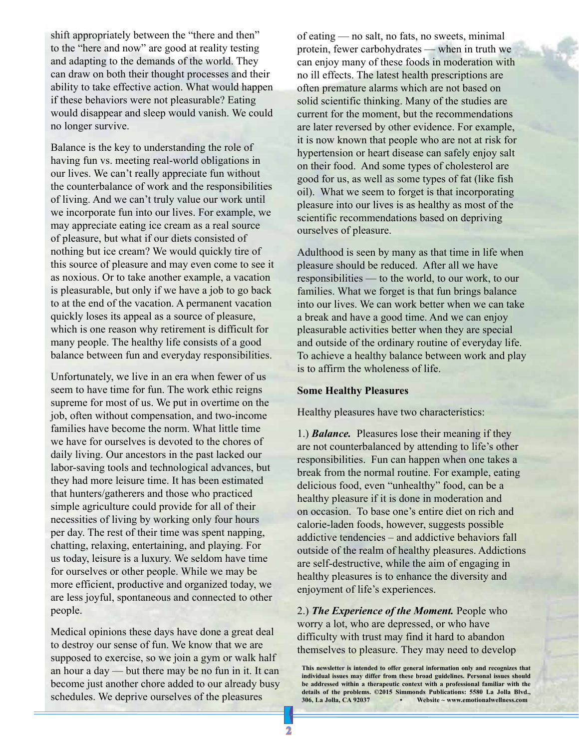shift appropriately between the "there and then" to the "here and now" are good at reality testing and adapting to the demands of the world. They can draw on both their thought processes and their ability to take effective action. What would happen if these behaviors were not pleasurable? Eating would disappear and sleep would vanish. We could no longer survive.

Balance is the key to understanding the role of having fun vs. meeting real-world obligations in our lives. We can't really appreciate fun without the counterbalance of work and the responsibilities of living. And we can't truly value our work until we incorporate fun into our lives. For example, we may appreciate eating ice cream as a real source of pleasure, but what if our diets consisted of nothing but ice cream? We would quickly tire of this source of pleasure and may even come to see it as noxious. Or to take another example, a vacation is pleasurable, but only if we have a job to go back to at the end of the vacation. A permanent vacation quickly loses its appeal as a source of pleasure, which is one reason why retirement is difficult for many people. The healthy life consists of a good balance between fun and everyday responsibilities.

Unfortunately, we live in an era when fewer of us seem to have time for fun. The work ethic reigns supreme for most of us. We put in overtime on the job, often without compensation, and two-income families have become the norm. What little time we have for ourselves is devoted to the chores of daily living. Our ancestors in the past lacked our labor-saving tools and technological advances, but they had more leisure time. It has been estimated that hunters/gatherers and those who practiced simple agriculture could provide for all of their necessities of living by working only four hours per day. The rest of their time was spent napping, chatting, relaxing, entertaining, and playing. For us today, leisure is a luxury. We seldom have time for ourselves or other people. While we may be more efficient, productive and organized today, we are less joyful, spontaneous and connected to other people.

Medical opinions these days have done a great deal to destroy our sense of fun. We know that we are supposed to exercise, so we join a gym or walk half an hour a day — but there may be no fun in it. It can become just another chore added to our already busy schedules. We deprive ourselves of the pleasures

of eating — no salt, no fats, no sweets, minimal protein, fewer carbohydrates — when in truth we can enjoy many of these foods in moderation with no ill effects. The latest health prescriptions are often premature alarms which are not based on solid scientific thinking. Many of the studies are current for the moment, but the recommendations are later reversed by other evidence. For example, it is now known that people who are not at risk for hypertension or heart disease can safely enjoy salt on their food. And some types of cholesterol are good for us, as well as some types of fat (like fish oil). What we seem to forget is that incorporating pleasure into our lives is as healthy as most of the scientific recommendations based on depriving ourselves of pleasure.

Adulthood is seen by many as that time in life when pleasure should be reduced. After all we have responsibilities — to the world, to our work, to our families. What we forget is that fun brings balance into our lives. We can work better when we can take a break and have a good time. And we can enjoy pleasurable activities better when they are special and outside of the ordinary routine of everyday life. To achieve a healthy balance between work and play is to affirm the wholeness of life.

## **Some Healthy Pleasures**

Healthy pleasures have two characteristics:

1.) *Balance.* Pleasures lose their meaning if they are not counterbalanced by attending to life's other responsibilities. Fun can happen when one takes a break from the normal routine. For example, eating delicious food, even "unhealthy" food, can be a healthy pleasure if it is done in moderation and on occasion. To base one's entire diet on rich and calorie-laden foods, however, suggests possible addictive tendencies – and addictive behaviors fall outside of the realm of healthy pleasures. Addictions are self-destructive, while the aim of engaging in healthy pleasures is to enhance the diversity and enjoyment of life's experiences.

2.) *The Experience of the Moment.* People who worry a lot, who are depressed, or who have difficulty with trust may find it hard to abandon themselves to pleasure. They may need to develop

**This newsletter is intended to offer general information only and recognizes that individual issues may differ from these broad guidelines. Personal issues should be addressed within a therapeutic context with a professional familiar with the**  details of the problems. ©2015 Simmonds Publications: 5580 La Jolla Blvd., 306, La Jolla, CA 92037 **·** Website ~ www.emotionalwellness.com **306, La Jolla, CA 92037 • Website ~ www.emotionalwellness.com**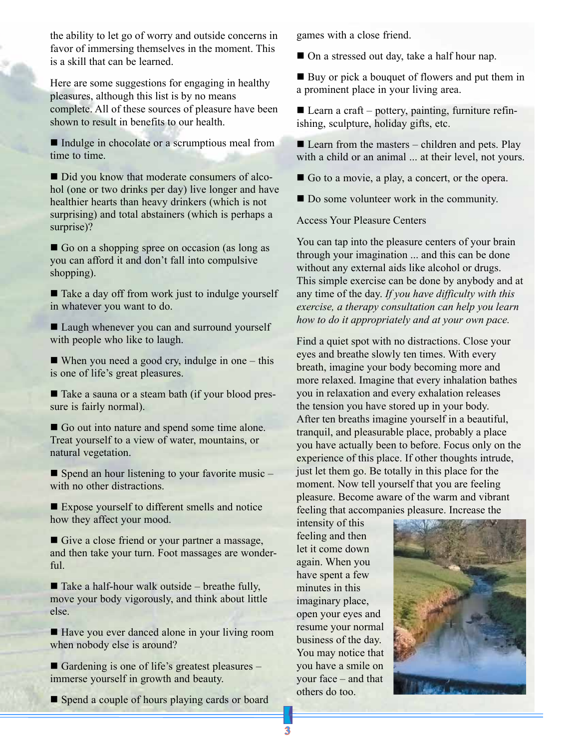the ability to let go of worry and outside concerns in favor of immersing themselves in the moment. This is a skill that can be learned.

Here are some suggestions for engaging in healthy pleasures, although this list is by no means complete. All of these sources of pleasure have been shown to result in benefits to our health.

Indulge in chocolate or a scrumptious meal from time to time.

Did you know that moderate consumers of alcohol (one or two drinks per day) live longer and have healthier hearts than heavy drinkers (which is not surprising) and total abstainers (which is perhaps a surprise)?

Go on a shopping spree on occasion (as long as you can afford it and don't fall into compulsive shopping).

■ Take a day off from work just to indulge yourself in whatever you want to do.

■ Laugh whenever you can and surround yourself with people who like to laugh.

When you need a good cry, indulge in one  $-$  this is one of life's great pleasures.

■ Take a sauna or a steam bath (if your blood pressure is fairly normal).

Go out into nature and spend some time alone. Treat yourself to a view of water, mountains, or natural vegetation.

 $\blacksquare$  Spend an hour listening to your favorite music – with no other distractions.

■ Expose yourself to different smells and notice how they affect your mood.

Give a close friend or your partner a massage, and then take your turn. Foot massages are wonderful.

 $\blacksquare$  Take a half-hour walk outside – breathe fully, move your body vigorously, and think about little else.

■ Have you ever danced alone in your living room when nobody else is around?

Gardening is one of life's greatest pleasures – immerse yourself in growth and beauty.

Spend a couple of hours playing cards or board

games with a close friend.

■ On a stressed out day, take a half hour nap.

■ Buy or pick a bouquet of flowers and put them in a prominent place in your living area.

Learn a craft – pottery, painting, furniture refinishing, sculpture, holiday gifts, etc.

 $\blacksquare$  Learn from the masters – children and pets. Play with a child or an animal ... at their level, not yours.

Go to a movie, a play, a concert, or the opera.

Do some volunteer work in the community.

Access Your Pleasure Centers

You can tap into the pleasure centers of your brain through your imagination ... and this can be done without any external aids like alcohol or drugs. This simple exercise can be done by anybody and at any time of the day. *If you have difficulty with this exercise, a therapy consultation can help you learn how to do it appropriately and at your own pace.* 

Find a quiet spot with no distractions. Close your eyes and breathe slowly ten times. With every breath, imagine your body becoming more and more relaxed. Imagine that every inhalation bathes you in relaxation and every exhalation releases the tension you have stored up in your body. After ten breaths imagine yourself in a beautiful, tranquil, and pleasurable place, probably a place you have actually been to before. Focus only on the experience of this place. If other thoughts intrude, just let them go. Be totally in this place for the moment. Now tell yourself that you are feeling pleasure. Become aware of the warm and vibrant feeling that accompanies pleasure. Increase the

intensity of this feeling and then let it come down again. When you have spent a few minutes in this imaginary place, open your eyes and resume your normal business of the day. You may notice that you have a smile on your face – and that others do too.